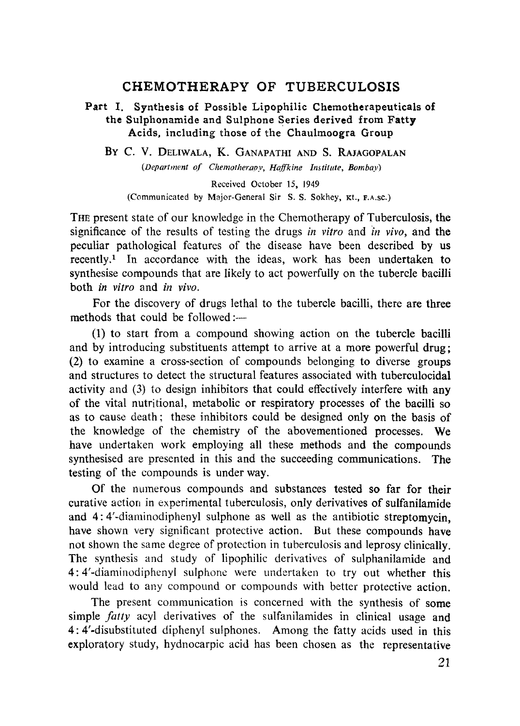## **CHEMOTHERAPY OF TUBERCULOSIS**

### **Part I. Synthesis of Possible Lipophilic Chemotherapeuticals of the Sulphonamide and Sulphone Series derived from Fatty Acids, including those of the Chaulmoogra Group**

By C. V. DELIWALA, K. GANAPATHI AND S. RAJAGOPALAN

*(Department of Chemotherapy, Haffkine Institute, Bombay)*

Received October 15, 1949 (Communicated by Major-General Sir S. S. Sokhey, Kt., F.A.SC.)

THE present state of our knowledge in the Chemotherapy of Tuberculosis, the significance of the results of testing the drugs *in vitro* and *in vivo,* and the peculiar pathological features of the disease have been described by us recently.' In accordance with the ideas, work has been undertaken to synthesise compounds that are likely to act powerfully on the tubercle bacilli both *in vitro* and *in* vivo.

For the discovery of drugs lethal to the tubercle bacilli, there are three methods that could be followed :--

(1) to start from a compound showing action on the tubercle bacilli and by introducing substituents attempt to arrive at a more powerful drug; (2) to examine a cross-section of compounds belonging to diverse groups and structures to detect the structural features associated with tuberculocidal activity and (3) to design inhibitors that could effectively interfere with any of the vital nutritional, metabolic or respiratory processes of the bacilli so as to cause death; these inhibitors could be designed only on the basis of the knowledge of the chemistry of the abovementioned processes. We have undertaken work employing all these methods and the compounds synthesised are presented in this and the succeeding communications. The testing of the compounds is under way.

Of the numerous compounds and substances tested so far for their curative action in experimental tuberculosis, only derivatives of sulfanilamide and 4: 4'-dianiinodiphenyl sulphone as well as the antibiotic streptomycin, have shown very significant protective action. But these compounds have not shown the same degree of protection in tuberculosis and leprosy clinically. The synthesis and study of lipophilic derivatives of sulphanilamide and 4: 4'-diaminodiphenyI sulphone were undertaken to try out whether this would lead to any compound or compounds with better protective action.

The present communication is concerned with the synthesis of some simple *fatty acyl* derivatives of the sulfanilamides in clinical usage and 4: 4'-disubstituted diphenyl sulphones. Among the fatty acids used in this exploratory study, hydnocarpic acid has been chosen as the representative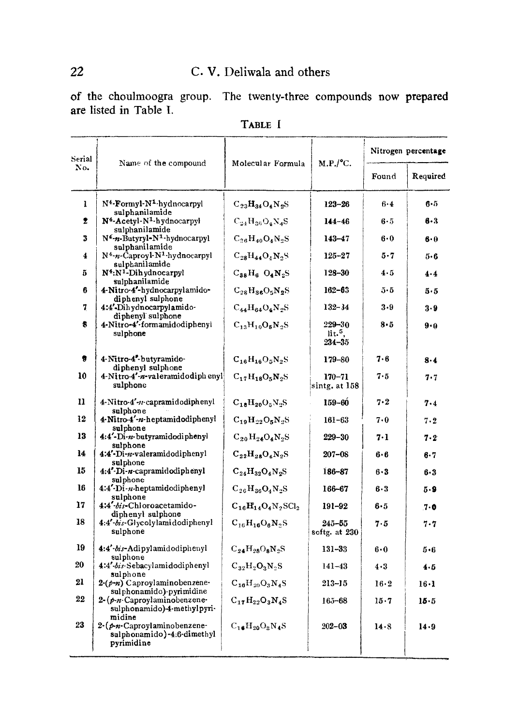# C. V. Deliwala and others

of the choulmoogra group. The twenty-three compounds now prepared are listed in Table I.

| Serial    | Name of the compound                                                      | Molecular Formula         | M.P./°C.                          | Nitrogen percentage |              |
|-----------|---------------------------------------------------------------------------|---------------------------|-----------------------------------|---------------------|--------------|
| No.       |                                                                           |                           |                                   | Found               | Required     |
| ı         | N <sup>4</sup> -Formyl-N <sup>1</sup> -hydnocarpyl<br>sulphanilamide      | $C_{23}H_{34}O_4N_2S$     | $123 - 26$                        | $6 - 4$             | $6 - 5$      |
| $\bullet$ | N <sup>4</sup> -Acetyl-N <sup>1</sup> -hydnocarpyl<br>sulphanilamide      | $C_{24}H_{86}O_4N_4S$     | $144 - 46$                        | $6 - 5$             | 6-3          |
| 3         | N4-n-Butyryl-N <sup>1</sup> -hydnocarpyl<br>sulphanilamide                | $C_{26}H_{40}O_4N_2S$     | $143 - 47$                        | $6 - 0$             | $6 - 0$      |
| 4         | N <sup>4</sup> -n-Caproyl-N <sup>1</sup> -hydnocarpyl<br>sulphanilamide   | $C_{28}H_{44}O_4N_2S$     | $125 - 27$                        | $5 - 7$             | $5 - 6$      |
| 5         | N <sup>4</sup> :N <sup>1</sup> -Dihydnocarpyl<br>sulphanilamide           | $C_{38}H_6$ $O_4N_2S$     | $128 - 30$                        | 4.5                 | 4.4          |
| 6         | 4-Nitro-4'-hydnocarpylamido-<br>diphenyl sulphone                         | $C_{28}H_{86}O_5N_2S$     | $162 - 63$                        | 5.5                 | 5.5          |
| 7         | 4:4'-Dihydnocarpylamido-<br>diphenyl sulphone                             | $C_{44}H_{64}O_4N_2S$     | $132 - 34$                        | $3 - 9$             | 3.9          |
| 8.        | 4-Nitro-4'-formamidodiphenyl<br>sulphone                                  | $C_{13}H_{10}O_5N_2S$     | $229 - 30$<br>lit.5<br>$234 - 35$ | $8 - 5$             | 9.0          |
| 9         | 4-Nitro-4-butyramido-<br>diphenyl sulphone                                | $C_{16}H_{16}O_5N_2S$     | 179-80                            | 7.6                 | $8 - 4$      |
| 10        | 4-Nitro-4'-n-valeramidodiph enyl<br>sulphone                              | $C_{17}H_{18}O_5N_2S$     | $170 - 71$<br>sintg. at 158       | 7.5                 | 7.7          |
| 11        | 4-Nitro-4'-n-capramidodiphenyl<br>sulphone                                | $C_{18}H_{20}O_5N_2S$     | 159-60                            | $7 - 2$             | 7.4          |
| 12        | 4-Nitro-4'-n-heptamidodiphenyl<br>sulphone                                | $C_{19}H_{22}O_5N_2S$     | $161 - 63$                        | 7.0                 | 7.2          |
| 13        | 4:4'-Di-n-butyramidodiphenyl<br>sulphone                                  | $C_{20}H_{24}O_4N_2S$     | $229 - 30$                        | 7.1                 | 7.2          |
| 14        | 4:4'-Di-n-valeramidodiphenyl<br>sulphone                                  | $C_{22}H_{28}O_4N_2S$     | $207 - 08$                        | $6 - 6$             | 6.7          |
| 15        | 4:4'-Di-n-capramidodiphenyl<br>sulphone                                   | $C_{24}H_{32}O_4N_2S$     | 186–87                            | $6 - 3$             | $6 - 3$      |
| 16        | 4:4'-Di-n-heptamidodiphenyl<br>sulphone                                   | $C_{26}H_{36}O_4N_2S$     | 166-67                            | $6 - 3$             | 5.9          |
| 17        | 4:4'-bis-Chloroacetamido-<br>diphenyl sulphone                            | $C_{16}H_{14}O_4N_2SCl_2$ | 191-92                            | 6.5                 | $7 - 0$      |
| 18        | 4:4'-bis-Glycolylamidodiphenyl<br>sulphone                                | $C_{16}H_{16}O_6N_2S$     | $245 - 55$<br>softg. at 230       | 7.5                 | 7.7          |
| 19        | 4:4'-bis-Adipylamidodiphenyl<br>sulphone                                  | $C_{24}H_{28}O_8N_2S$     | 131-33                            | 6.0                 | 5.6          |
| 20        | 4:4'-bis-Sebacylamidodiphenyl<br>sulphone                                 | $C_{32}H_2O_3N_2S$        | $141 - 43$                        | 4.3                 | 4.5          |
| 21        | $2-(p\cdot n)$ Caproylaminobenzene-<br>sulphonamido) pyrimidine           | $C_{16}H_{20}O_3N_4S$     | 213–15                            | 16.2                | $16 \cdot 1$ |
| $22\,$    | $2-(p-n)$ Caproylaminobenzene-<br>sulphonamido)-4-methylpyri-<br>midine   | $C_{17}H_{22}O_3N_4S$     | 165–68                            | 15.7                | $15 - 5$     |
| 23        | $2-(p-n-Caproylaminobenzene-$<br>sulphonamido)-4:6-dimethyl<br>pyrimidine | $C_{16}H_{20}O_8N_4S$     | $202 - 03$                        | 14.8                | 14.9         |

TABLE I

 $\overline{a}$  and  $\overline{a}$ 

 $\sim$ 

22

 $\mathbf{r}$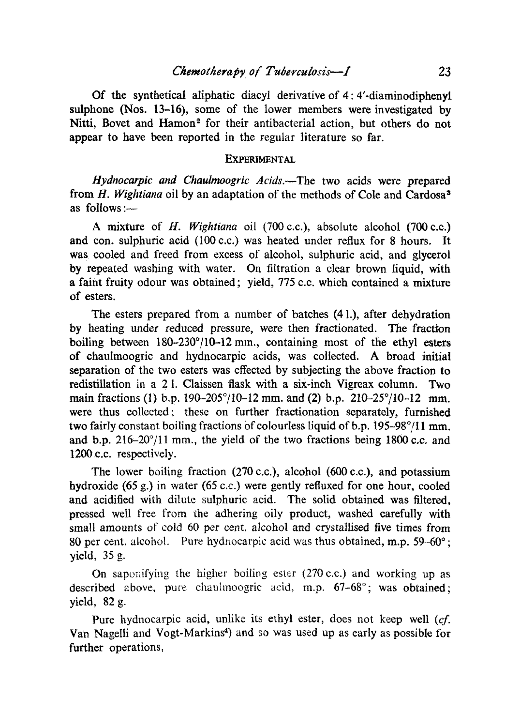Of the synthetical aliphatic diacyl derivative of 4: 4'-diaminodiphenyl. sulphone (Nos. 13-16), some of the lower members were investigated by Nitti, Bovet and Hamon<sup>2</sup> for their antibacterial action, but others do not appear to have been reported in the regular literature so far.

#### **EXPERIMENTAL**

*Hydnocarpic and Chaulmoogric Acids.—The* two acids were prepared from *H. Wightiana oil by* an adaptation of the methods of Cole and Cardosa <sup>3</sup> as follows :—

A mixture of *H. Wightiana oil (700 c.c.),* absolute alcohol (700 c.c.) and con. sulphuric acid (100 c.c.) was heated under reflux for 8 hours. It was cooled and freed from excess of alcohol, sulphuric acid, and glycerol by repeated washing with water. On filtration a clear brown liquid, with a faint fruity odour was obtained; yield, 775 c.c. which contained a mixture of esters.

The esters prepared from a number of batches (4 1.), after dehydration by heating under reduced pressure, were then fractionated. The fraction boiling between 180-230°/10-12 mm., containing most of the ethyl esters of chaulmoogric and hydnocarpic acids, was collected. A broad initial separation of the two esters was effected by subjecting the above fraction to redistillation in a 2 1. Claissen flask with a six-inch Vigreax column. Two main fractions (1) b.p. 190-205°/10-12 mm. and (2) b.p. 210-25°/10-12 mm. were thus collected; these on further fractionation separately, furnished two fairly constant boiling fractions of colourless liquid of b.p. 195-98<sup>o</sup>/11 mm. and b.p.  $216-20^{\circ}/11$  mm., the yield of the two fractions being 1800 c.c. and 1200 c.c. respectively.

The lower boiling fraction (270 c.c.), alcohol (600 c.c.), and potassium hydroxide (65 g.) in water (65 c.c.) were gently refluxed for one hour, cooled and acidified with dilute sulphuric acid. The solid obtained was filtered, pressed well free from the adhering oily product, washed carefully with small amounts of cold 60 *per* cent. alcohol and crystallised five times from 80 per cent. alcohol. Pure hydnocarpic acid was thus obtained, m.p. 59-60°; yield, 35 g.

On saponifying the higher boiling ester *(270* c.c.) and working up as described above, pure chauhnoogric acid, m.p. *67*-68°; was obtained; yield, 82 g.

Pure hydnocarpic acid, unlike its ethyl ester, does not keep well *(cf.* Van Nagelli and Vogt-Markins<sup>4</sup>) and so was used up as early as possible for further operations,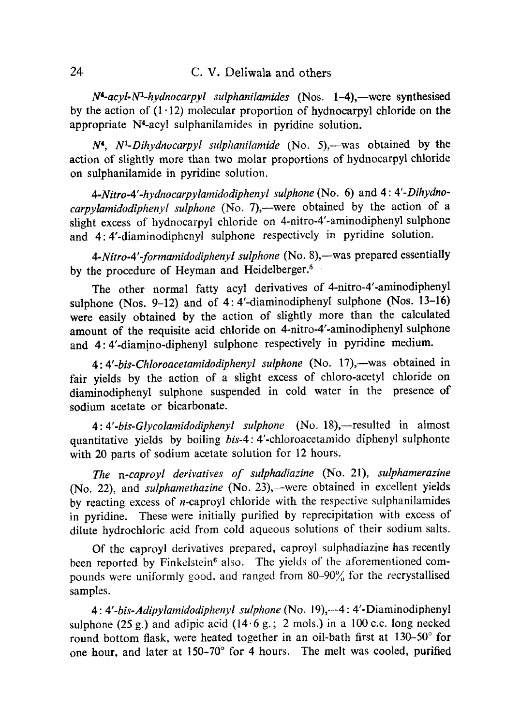## 24 C. V. Deliwala and others

*N'-acyl-Ni-hydnocarpyl sulphanilamides* (Nos. 1-4),—were synthesised by the action of  $(1.12)$  molecular proportion of hydnocarpyl chloride on the appropriate N4-acyl sulphanilamides in pyridine solution.

*N°, N'-Dihydnocarpyl sulphanilamide (No. 5),* —was obtained by the action of slightly more than two molar proportions of hydnocarpyl chloride on sulphanilamide in pyridine solution.

*4-Nitro-4'-hydnocarpylamidodiphenyl sulphone* (No. 6) and *4: 4'-Dihydnocarpylamidodiphenyl sulphone (No. 7),* —were obtained by the action of a slight excess of hydnocarpyl chloride on 4-nitro-4'-aminodiphenyl sulphone and 4: 4'-diaminodiphenyl sulphone respectively in pyridine solution.

*4-Nitro-4' formamidodiphenyl sulphone* (No. 8),—was prepared essentially by the procedure of Heyman and Heidelberger.<sup>5</sup>

The other normal fatty acyl derivatives of 4-nitro-4'-aminodiphenyl sulphone (Nos. 9-12) and of 4: 4'-diaminodiphenyl sulphone (Nos. 13-16) were easily obtained by the action of slightly more than the calculated amount of the requisite acid chloride on 4-nitro-4'-aminodiphenyl sulphone and 4: 4'-diamino-diphenyl sulphone respectively in pyridine medium.

*4: 4'-bis-Chloroacetamidodiphenyl sulphone (No.* 17),—was obtained in fair yields by the action of a slight excess of chloro-acetyl chloride on diaminodiphenyl sulphone suspended in cold water in the presence of sodium acetate or bicarbonate.

*4: 4'-bis-Glycolamidodiphenyl sulphone* (No. 18),—resulted in almost quantitative yields by boiling *bis-4:* 4'-chloroacetamido diphenyl sulphonte with 20 parts of sodium acetate solution for 12 hours.

*The n-caproyl derivatives of sulphadiazine (No.* 21), *sulphamerazine* (No. 22), and *sulphamethazine (No.* 23),—were obtained in excellent yields by reacting excess of n-caproyl chloride with the respective sulphanilamides in pyridine. These were initially purified by reprecipitation with excess of dilute hydrochloric acid from cold aqueous solutions of their sodium salts.

Of the caproyl derivatives prepared, caproyl suiphadiazine has recently been reported by Finkelstein<sup>6</sup> also. The yields of the aforementioned compounds were uniformly good, and ranged from 80-90% for the recrystallised samples.

*4: 4'-bis-Adipylamidodiphenyl sulphone* (No. 19),-4: 4'-Diaminodiphenyl sulphone (25 g.) and adipic acid (14.6 g.; 2 mols.) in a 100 c.c. long necked round bottom flask, were heated together in an oil-bath first at 130*-50°* for one hour, and later at *150-70°* for 4 hours. The melt was cooled, purified